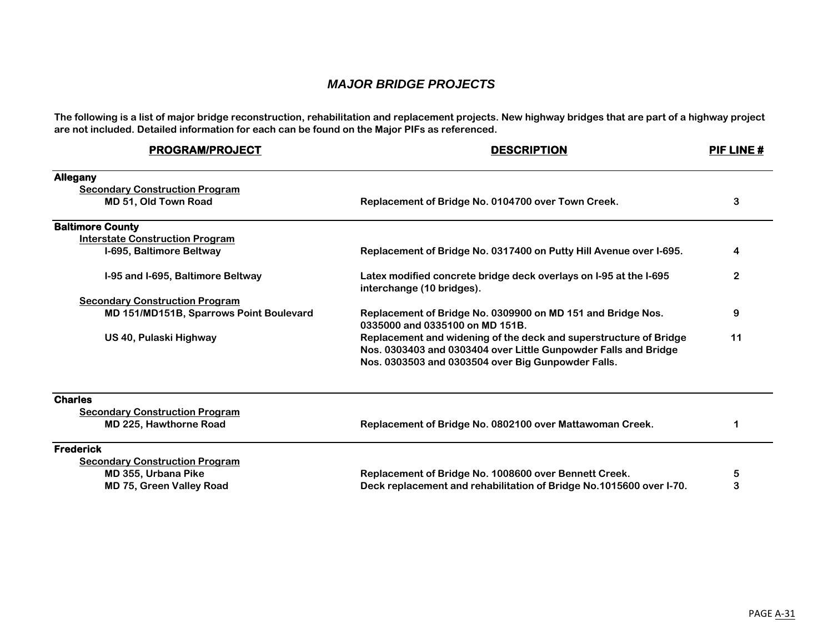## *MAJOR BRIDGE PROJECTS*

**The following is a list of major bridge reconstruction, rehabilitation and replacement projects. New highway bridges that are part of a highway project are not included. Detailed information for each can be found on the Major PIFs as referenced.**

| <b>PROGRAM/PROJECT</b>                         | <b>DESCRIPTION</b>                                                                                                                                                                         | PIF LINE# |
|------------------------------------------------|--------------------------------------------------------------------------------------------------------------------------------------------------------------------------------------------|-----------|
| <b>Allegany</b>                                |                                                                                                                                                                                            |           |
| <b>Secondary Construction Program</b>          |                                                                                                                                                                                            |           |
| MD 51, Old Town Road                           | Replacement of Bridge No. 0104700 over Town Creek.                                                                                                                                         | 3         |
| <b>Baltimore County</b>                        |                                                                                                                                                                                            |           |
| <b>Interstate Construction Program</b>         |                                                                                                                                                                                            |           |
| I-695, Baltimore Beltway                       | Replacement of Bridge No. 0317400 on Putty Hill Avenue over I-695.                                                                                                                         | 4         |
| I-95 and I-695, Baltimore Beltway              | Latex modified concrete bridge deck overlays on I-95 at the I-695<br>interchange (10 bridges).                                                                                             | 2         |
| <b>Secondary Construction Program</b>          |                                                                                                                                                                                            |           |
| <b>MD 151/MD151B, Sparrows Point Boulevard</b> | Replacement of Bridge No. 0309900 on MD 151 and Bridge Nos.<br>0335000 and 0335100 on MD 151B.                                                                                             | 9         |
| US 40, Pulaski Highway                         | Replacement and widening of the deck and superstructure of Bridge<br>Nos. 0303403 and 0303404 over Little Gunpowder Falls and Bridge<br>Nos. 0303503 and 0303504 over Big Gunpowder Falls. | 11        |
| <b>Charles</b>                                 |                                                                                                                                                                                            |           |
| <b>Secondary Construction Program</b>          |                                                                                                                                                                                            |           |
| <b>MD 225, Hawthorne Road</b>                  | Replacement of Bridge No. 0802100 over Mattawoman Creek.                                                                                                                                   | 1         |
| <b>Frederick</b>                               |                                                                                                                                                                                            |           |
| <b>Secondary Construction Program</b>          |                                                                                                                                                                                            |           |
| MD 355, Urbana Pike                            | Replacement of Bridge No. 1008600 over Bennett Creek.                                                                                                                                      | 5         |
| <b>MD 75, Green Valley Road</b>                | Deck replacement and rehabilitation of Bridge No.1015600 over I-70.                                                                                                                        | 3         |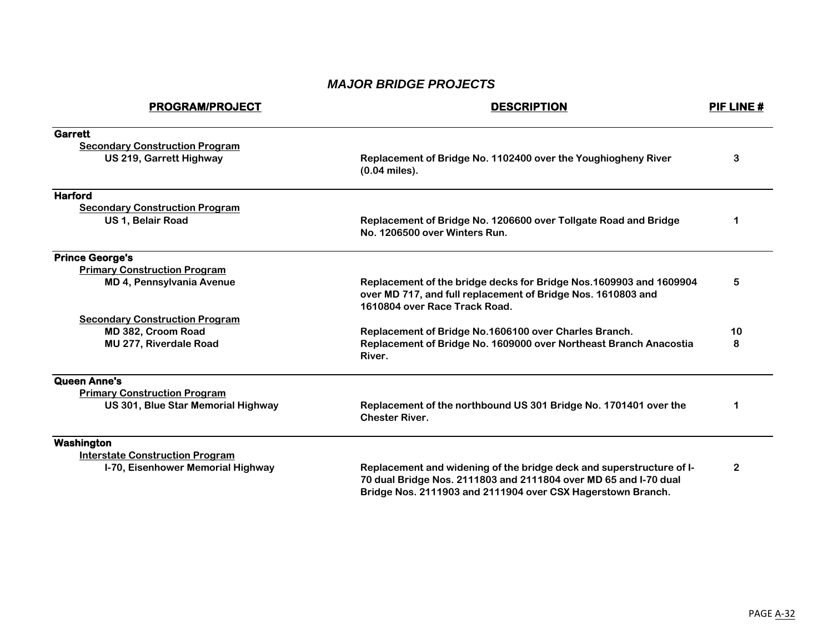## *MAJOR BRIDGE PROJECTS*

| <b>PROGRAM/PROJECT</b>                 | <b>DESCRIPTION</b>                                                                                                                                                  | PIF LINE# |
|----------------------------------------|---------------------------------------------------------------------------------------------------------------------------------------------------------------------|-----------|
| <b>Garrett</b>                         |                                                                                                                                                                     |           |
| <b>Secondary Construction Program</b>  |                                                                                                                                                                     |           |
| US 219, Garrett Highway                | Replacement of Bridge No. 1102400 over the Youghiogheny River<br>$(0.04$ miles).                                                                                    | 3         |
| <b>Harford</b>                         |                                                                                                                                                                     |           |
| <b>Secondary Construction Program</b>  |                                                                                                                                                                     |           |
| US 1, Belair Road                      | Replacement of Bridge No. 1206600 over Tollgate Road and Bridge<br>No. 1206500 over Winters Run.                                                                    | 1         |
| <b>Prince George's</b>                 |                                                                                                                                                                     |           |
| <b>Primary Construction Program</b>    |                                                                                                                                                                     |           |
| <b>MD 4, Pennsylvania Avenue</b>       | Replacement of the bridge decks for Bridge Nos.1609903 and 1609904<br>over MD 717, and full replacement of Bridge Nos. 1610803 and<br>1610804 over Race Track Road. | 5         |
| <b>Secondary Construction Program</b>  |                                                                                                                                                                     |           |
| MD 382, Croom Road                     | Replacement of Bridge No.1606100 over Charles Branch.                                                                                                               | 10        |
| <b>MU 277, Riverdale Road</b>          | Replacement of Bridge No. 1609000 over Northeast Branch Anacostia<br>River.                                                                                         | 8         |
| Queen Anne's                           |                                                                                                                                                                     |           |
| <b>Primary Construction Program</b>    |                                                                                                                                                                     |           |
| US 301, Blue Star Memorial Highway     | Replacement of the northbound US 301 Bridge No. 1701401 over the<br><b>Chester River.</b>                                                                           | 1         |
| Washington                             |                                                                                                                                                                     |           |
| <b>Interstate Construction Program</b> |                                                                                                                                                                     |           |
| I-70, Eisenhower Memorial Highway      | Replacement and widening of the bridge deck and superstructure of I-                                                                                                | 2         |

**70 dual Bridge Nos. 2111803 and 2111804 over MD 65 and I-70 dual Bridge Nos. 2111903 and 2111904 over CSX Hagerstown Branch.**